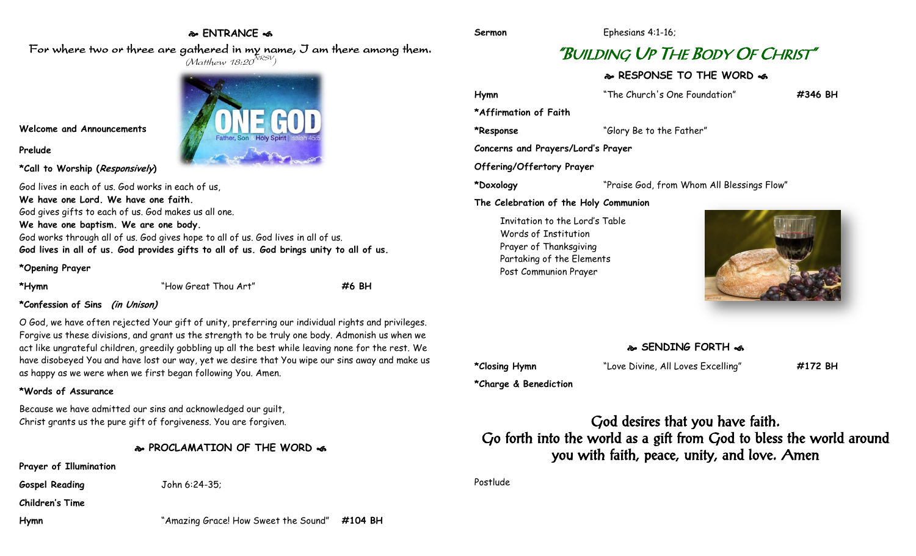## **ENTRANCE**  For where two or three are gathered in my name, I am there among them.

 $(M$ atthew 18:20 $^{NRSV})$ 

**Sermon** Ephesians 4:1-16;

# "BUILDING UP THE BODY OF CHRIST"

### **RESPONSE TO THE WORD**

**Hymn** "The Church's One Foundation" **#346 BH \*Affirmation of Faith \*Response** "Glory Be to the Father" **Concerns and Prayers/Lord's Prayer Offering/Offertory Prayer \*Doxology** "Praise God, from Whom All Blessings Flow" **The Celebration of the Holy Communion** Invitation to the Lord's Table Words of Institution

Prayer of Thanksgiving Partaking of the Elements Post Communion Prayer



#### **SENDING FORTH**

**\*Closing Hymn** "Love Divine, All Loves Excelling" **#172 BH**

**\*Charge & Benediction**

God desires that you have faith. Go forth into the world as a gift from God to bless the world around you with faith, peace, unity, and love. Amen

Postlude

**Hymn** "Amazing Grace! How Sweet the Sound" **#104 BH**

**Welcome and Announcements**

**Prelude**

**\*Call to Worship (Responsively)** 

God lives in each of us. God works in each of us, **We have one Lord. We have one faith.** God gives gifts to each of us. God makes us all one. **We have one baptism. We are one body.** God works through all of us. God gives hope to all of us. God lives in all of us.

**God lives in all of us. God provides gifts to all of us. God brings unity to all of us.**

### **\*Opening Prayer**

**\*Hymn** "How Great Thou Art" **#6 BH**

#### **\*Confession of Sins (in Unison)**

O God, we have often rejected Your gift of unity, preferring our individual rights and privileges. Forgive us these divisions, and grant us the strength to be truly one body. Admonish us when we act like ungrateful children, greedily gobbling up all the best while leaving none for the rest. We have disobeyed You and have lost our way, yet we desire that You wipe our sins away and make us as happy as we were when we first began following You. Amen.

#### **\*Words of Assurance**

Because we have admitted our sins and acknowledged our guilt, Christ grants us the pure gift of forgiveness. You are forgiven.

#### **PROCLAMATION OF THE WORD**

**Prayer of Illumination**

**Gospel Reading** John 6:24-35;

**Children's Time**